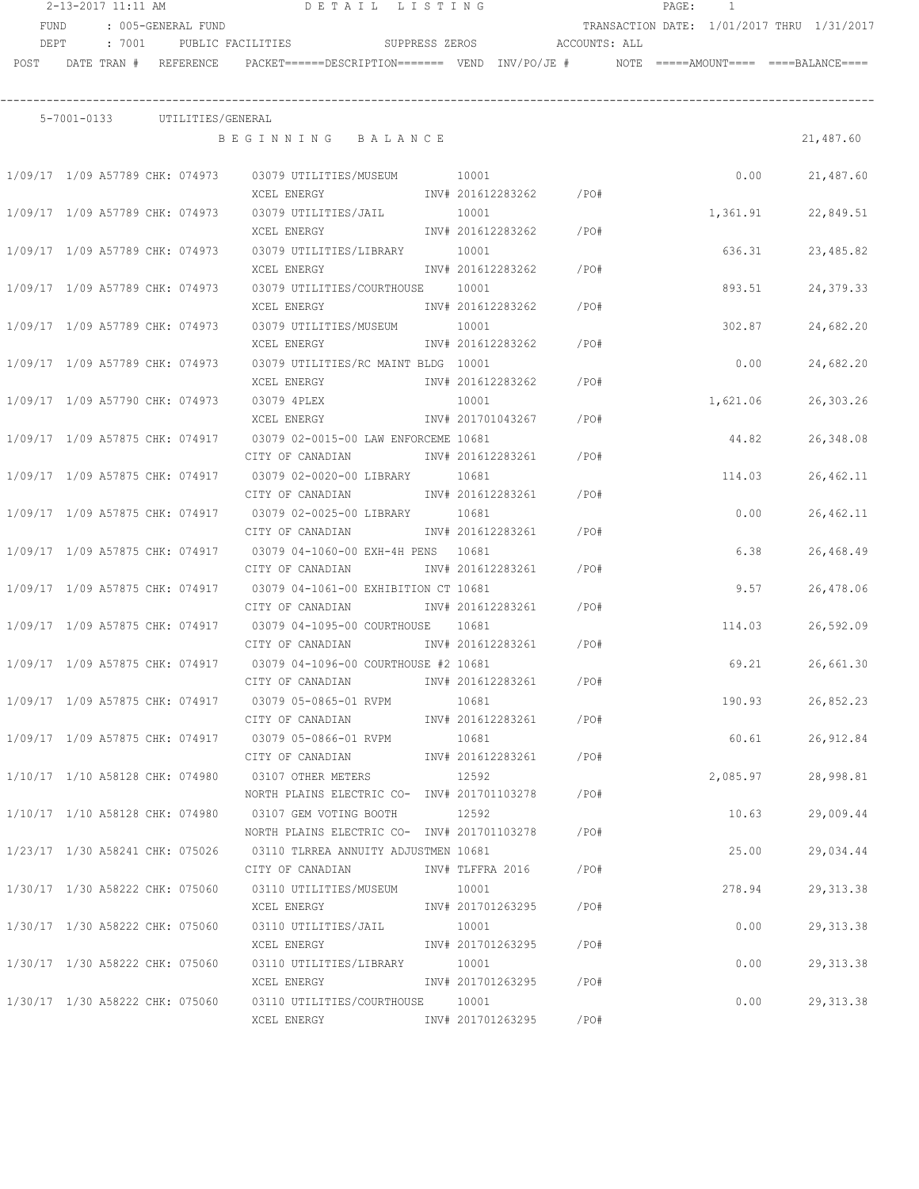|                                 | 2-13-2017 11:11 AM         |        |                                 | DETAIL LISTING                                                                                               |       |                        |      | PAGE: | $\overline{1}$ |                                            |
|---------------------------------|----------------------------|--------|---------------------------------|--------------------------------------------------------------------------------------------------------------|-------|------------------------|------|-------|----------------|--------------------------------------------|
| <b>FUND</b>                     |                            |        | : 005-GENERAL FUND              |                                                                                                              |       |                        |      |       |                | TRANSACTION DATE: 1/01/2017 THRU 1/31/2017 |
| DEPT                            |                            | : 7001 | PUBLIC FACILITIES               | SUPPRESS ZEROS ACCOUNTS: ALL                                                                                 |       |                        |      |       |                |                                            |
|                                 | POST DATE TRAN # REFERENCE |        |                                 | PACKET======DESCRIPTION======= VEND INV/PO/JE #     NOTE =====AMOUNT==== ====BALANCE====                     |       |                        |      |       |                |                                            |
|                                 |                            |        |                                 |                                                                                                              |       |                        |      |       |                |                                            |
|                                 |                            |        | 5-7001-0133 UTILITIES/GENERAL   |                                                                                                              |       |                        |      |       |                |                                            |
|                                 |                            |        |                                 | BEGINNING BALANCE                                                                                            |       |                        |      |       |                | 21,487.60                                  |
|                                 |                            |        |                                 |                                                                                                              |       |                        |      |       |                |                                            |
|                                 |                            |        |                                 | 1/09/17 1/09 A57789 CHK: 074973 03079 UTILITIES/MUSEUM 10001                                                 |       |                        |      |       | 0.00           | 21,487.60                                  |
|                                 |                            |        |                                 | XCEL ENERGY                                                                                                  |       | INV# 201612283262 /PO# |      |       |                |                                            |
|                                 |                            |        |                                 | 1/09/17 1/09 A57789 CHK: 074973 03079 UTILITIES/JAIL 10001                                                   |       |                        |      |       | 1,361.91       | 22,849.51                                  |
|                                 |                            |        |                                 | XCEL ENERGY                                                                                                  |       | INV# 201612283262 /PO# |      |       |                |                                            |
|                                 |                            |        |                                 | 1/09/17 1/09 A57789 CHK: 074973 03079 UTILITIES/LIBRARY 10001                                                |       |                        |      |       | 636.31         | 23,485.82                                  |
|                                 |                            |        |                                 | XCEL ENERGY                                                                                                  |       | INV# 201612283262      | /PO# |       |                |                                            |
|                                 |                            |        | 1/09/17 1/09 A57789 CHK: 074973 | 03079 UTILITIES/COURTHOUSE 10001                                                                             |       |                        |      |       | 893.51         | 24,379.33                                  |
|                                 |                            |        |                                 | XCEL ENERGY                                                                                                  |       | INV# 201612283262      | /PO# |       |                |                                            |
| 1/09/17 1/09 A57789 CHK: 074973 |                            |        |                                 | 03079 UTILITIES/MUSEUM 10001                                                                                 |       |                        |      |       | 302.87         | 24,682.20                                  |
|                                 |                            |        |                                 | XCEL ENERGY                                                                                                  |       | INV# 201612283262      | /PO# |       |                |                                            |
| 1/09/17 1/09 A57789 CHK: 074973 |                            |        |                                 | 03079 UTILITIES/RC MAINT BLDG 10001                                                                          |       |                        |      |       | 0.00           | 24,682.20                                  |
|                                 |                            |        |                                 | XCEL ENERGY                                                                                                  |       | INV# 201612283262      | /PO# |       |                |                                            |
| 1/09/17 1/09 A57790 CHK: 074973 |                            |        |                                 | 03079 4PLEX                                                                                                  | 10001 |                        |      |       | 1,621.06       | 26,303.26                                  |
|                                 |                            |        |                                 | XCEL ENERGY                                                                                                  |       | INV# 201701043267      | /PO# |       |                |                                            |
| 1/09/17 1/09 A57875 CHK: 074917 |                            |        |                                 | 03079 02-0015-00 LAW ENFORCEME 10681                                                                         |       |                        |      |       | 44.82          | 26,348.08                                  |
|                                 |                            |        |                                 | CITY OF CANADIAN                                                                                             |       | INV# 201612283261      | /PO# |       |                |                                            |
|                                 |                            |        |                                 | 1/09/17  1/09  A57875  CHK:  074917   03079  02-0020-00  LIBRARY                                             | 10681 |                        |      |       | 114.03         | 26, 462.11                                 |
|                                 |                            |        |                                 | CITY OF CANADIAN                                                                                             |       | INV# 201612283261      | /PO# |       |                |                                            |
|                                 |                            |        |                                 | 1/09/17  1/09  A57875  CHK:  074917   03079  02-0025-00  LIBRARY                                             | 10681 |                        |      |       | 0.00           | 26, 462.11                                 |
|                                 |                            |        |                                 | CITY OF CANADIAN                                                                                             |       | INV# 201612283261      | /PO# |       |                |                                            |
|                                 |                            |        |                                 | 1/09/17 1/09 A57875 CHK: 074917 03079 04-1060-00 EXH-4H PENS 10681                                           |       |                        |      |       | 6.38           | 26,468.49                                  |
|                                 |                            |        |                                 | CITY OF CANADIAN                                                                                             |       | INV# 201612283261      | /PO# |       |                |                                            |
|                                 |                            |        |                                 | 1/09/17 1/09 A57875 CHK: 074917 03079 04-1061-00 EXHIBITION CT 10681                                         |       |                        |      |       | 9.57           | 26,478.06                                  |
|                                 |                            |        |                                 | CITY OF CANADIAN 1NV# 201612283261                                                                           |       |                        | /PO# |       |                |                                            |
|                                 |                            |        |                                 | 1/09/17 1/09 A57875 CHK: 074917 03079 04-1095-00 COURTHOUSE 10681<br>CITY OF CANADIAN 1NV# 201612283261 /PO# |       |                        |      |       | 114.03         | 26,592.09                                  |
|                                 |                            |        |                                 |                                                                                                              |       |                        |      |       |                |                                            |
| 1/09/17 1/09 A57875 CHK: 074917 |                            |        |                                 | 03079 04-1096-00 COURTHOUSE #2 10681                                                                         |       |                        |      |       | 69.21          | 26,661.30                                  |
|                                 |                            |        |                                 | CITY OF CANADIAN<br>1/09/17 1/09 A57875 CHK: 074917 03079 05-0865-01 RVPM 10681                              |       | INV# 201612283261 /PO# |      |       | 190.93         |                                            |
|                                 |                            |        |                                 | CITY OF CANADIAN               INV# 201612283261        /PO#                                                 |       |                        |      |       |                | 26,852.23                                  |
|                                 |                            |        |                                 | 1/09/17 1/09 A57875 CHK: 074917 03079 05-0866-01 RVPM                                                        | 10681 |                        |      |       | 60.61          | 26,912.84                                  |
|                                 |                            |        |                                 | CITY OF CANADIAN MW# 201612283261 /PO#                                                                       |       |                        |      |       |                |                                            |
|                                 |                            |        |                                 | 1/10/17  1/10  A58128  CHK:  074980   03107  OTHER METERS                                                    | 12592 |                        |      |       | 2,085.97       | 28,998.81                                  |
|                                 |                            |        |                                 | NORTH PLAINS ELECTRIC CO- INV# 201701103278 /PO#                                                             |       |                        |      |       |                |                                            |
|                                 |                            |        |                                 | 1/10/17 1/10 A58128 CHK: 074980 03107 GEM VOTING BOOTH 12592                                                 |       |                        |      |       | 10.63          | 29,009.44                                  |
|                                 |                            |        |                                 | NORTH PLAINS ELECTRIC CO- INV# 201701103278 /PO#                                                             |       |                        |      |       |                |                                            |
|                                 |                            |        |                                 | 1/23/17 1/30 A58241 CHK: 075026 03110 TLRREA ANNUITY ADJUSTMEN 10681                                         |       |                        |      |       | 25.00          | 29,034.44                                  |
|                                 |                            |        |                                 | CITY OF CANADIAN MOTHOM INV# TLFFRA 2016 / PO#                                                               |       |                        |      |       |                |                                            |
|                                 |                            |        |                                 | 1/30/17 1/30 A58222 CHK: 075060 03110 UTILITIES/MUSEUM 10001                                                 |       |                        |      |       | 278.94         | 29, 313.38                                 |
|                                 |                            |        |                                 |                                                                                                              |       |                        |      |       |                |                                            |
|                                 |                            |        |                                 | $1/30/17$ $1/30$ A58222 CHK: 075060 03110 UTILITIES/JAIL 10001                                               |       |                        |      |       | 0.00           | 29, 313.38                                 |
|                                 |                            |        |                                 | XCEL ENERGY                                                                                                  |       | INV# 201701263295 /PO# |      |       |                |                                            |
|                                 |                            |        |                                 | 1/30/17 1/30 A58222 CHK: 075060 03110 UTILITIES/LIBRARY 10001                                                |       |                        |      |       | 0.00           | 29, 313.38                                 |
|                                 |                            |        |                                 | XCEL ENERGY 1NV# 201701263295 /PO#                                                                           |       |                        |      |       |                |                                            |
|                                 |                            |        |                                 | 1/30/17 1/30 A58222 CHK: 075060 03110 UTILITIES/COURTHOUSE 10001                                             |       |                        |      |       | 0.00           | 29, 313.38                                 |
|                                 |                            |        |                                 | XCEL ENERGY 1NV# 201701263295 /PO#                                                                           |       |                        |      |       |                |                                            |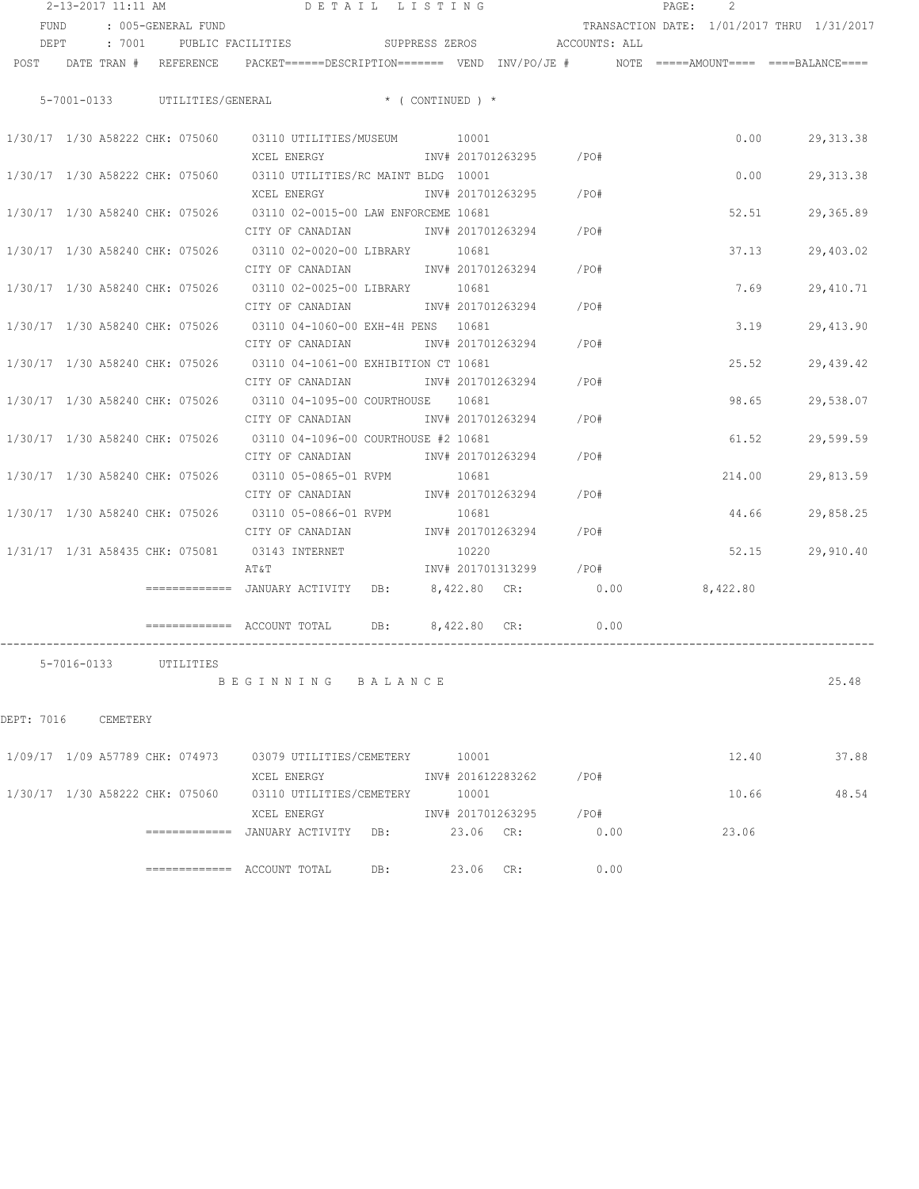|            | 2-13-2017 11:11 AM |                                 |                                                                                                                 | DETAIL LISTING   |           |                   |                        | PAGE:<br>2                                 |        |            |
|------------|--------------------|---------------------------------|-----------------------------------------------------------------------------------------------------------------|------------------|-----------|-------------------|------------------------|--------------------------------------------|--------|------------|
| FUND       |                    | : 005-GENERAL FUND              |                                                                                                                 |                  |           |                   |                        | TRANSACTION DATE: 1/01/2017 THRU 1/31/2017 |        |            |
|            |                    |                                 | DEPT : 7001 PUBLIC FACILITIES SUPPRESS ZEROS ACCOUNTS: ALL                                                      |                  |           |                   |                        |                                            |        |            |
|            |                    |                                 | POST DATE TRAN # REFERENCE PACKET======DESCRIPTION======= VEND INV/PO/JE # NOTE =====AMOUNT==== ====BALANCE==== |                  |           |                   |                        |                                            |        |            |
|            |                    |                                 |                                                                                                                 |                  |           |                   |                        |                                            |        |            |
|            |                    |                                 | 5-7001-0133 UTILITIES/GENERAL * (CONTINUED ) *                                                                  |                  |           |                   |                        |                                            |        |            |
|            |                    |                                 | 1/30/17 1/30 A58222 CHK: 075060 03110 UTILITIES/MUSEUM 10001                                                    |                  |           |                   |                        |                                            | 0.00   | 29, 313.38 |
|            |                    |                                 |                                                                                                                 |                  |           |                   |                        |                                            |        |            |
|            |                    |                                 | 1/30/17 1/30 A58222 CHK: 075060 03110 UTILITIES/RC MAINT BLDG 10001                                             |                  |           |                   |                        |                                            | 0.00   | 29, 313.38 |
|            |                    |                                 |                                                                                                                 |                  |           |                   |                        |                                            |        |            |
|            |                    |                                 | 1/30/17 1/30 A58240 CHK: 075026 03110 02-0015-00 LAW ENFORCEME 10681                                            |                  |           |                   |                        |                                            | 52.51  | 29,365.89  |
|            |                    |                                 | CITY OF CANADIAN 61 1NV# 201701263294 / PO#                                                                     |                  |           |                   |                        |                                            |        |            |
|            |                    |                                 | 1/30/17 1/30 A58240 CHK: 075026 03110 02-0020-00 LIBRARY 10681                                                  |                  |           |                   |                        |                                            | 37.13  | 29,403.02  |
|            |                    |                                 | CITY OF CANADIAN 1NV# 201701263294 / PO#                                                                        |                  |           |                   |                        |                                            |        |            |
|            |                    |                                 | 1/30/17 1/30 A58240 CHK: 075026 03110 02-0025-00 LIBRARY 10681                                                  |                  |           |                   |                        |                                            | 7.69   | 29,410.71  |
|            |                    |                                 | CITY OF CANADIAN 1NV# 201701263294 / PO#                                                                        |                  |           |                   |                        |                                            |        |            |
|            |                    |                                 | 1/30/17 1/30 A58240 CHK: 075026 03110 04-1060-00 EXH-4H PENS 10681                                              |                  |           |                   |                        |                                            | 3.19   | 29,413.90  |
|            |                    |                                 | CITY OF CANADIAN                                                                                                |                  |           |                   | INV# 201701263294 /PO# |                                            |        |            |
|            |                    | 1/30/17 1/30 A58240 CHK: 075026 | 03110 04-1061-00 EXHIBITION CT 10681                                                                            |                  |           |                   |                        |                                            | 25.52  | 29,439.42  |
|            |                    |                                 | CITY OF CANADIAN                                                                                                |                  |           | INV# 201701263294 | $/$ PO#                |                                            |        |            |
|            |                    |                                 | 1/30/17 1/30 A58240 CHK: 075026 03110 04-1095-00 COURTHOUSE 10681                                               |                  |           |                   |                        |                                            | 98.65  | 29,538.07  |
|            |                    |                                 | CITY OF CANADIAN                                                                                                |                  |           | INV# 201701263294 | $/$ PO#                |                                            |        |            |
|            |                    |                                 | 1/30/17 1/30 A58240 CHK: 075026 03110 04-1096-00 COURTHOUSE #2 10681                                            |                  |           |                   |                        |                                            | 61.52  | 29,599.59  |
|            |                    |                                 | CITY OF CANADIAN                                                                                                |                  |           |                   | INV# 201701263294 /PO# |                                            |        |            |
|            |                    |                                 | 1/30/17  1/30  A58240  CHK:  075026   03110  05-0865-01   RVPM                                                  |                  | 10681     |                   |                        |                                            | 214.00 | 29,813.59  |
|            |                    |                                 | CITY OF CANADIAN                                                                                                |                  |           |                   | INV# 201701263294 /PO# |                                            |        |            |
|            |                    |                                 | 1/30/17  1/30  A58240  CHK:  075026   03110  05-0866-01   RVPM                                                  |                  | 10681     |                   |                        |                                            | 44.66  | 29,858.25  |
|            |                    |                                 | CITY OF CANADIAN                                                                                                |                  |           |                   | INV# 201701263294 /PO# |                                            |        |            |
|            |                    |                                 | 1/31/17  1/31  A58435  CHK:  075081  03143  INTERNET                                                            |                  | 10220     |                   |                        |                                            | 52.15  | 29,910.40  |
|            |                    |                                 | ΑΤ&Τ                                                                                                            |                  |           |                   | INV# 201701313299 /PO# |                                            |        |            |
|            |                    |                                 | ============ JANUARY ACTIVITY DB: 8,422.80 CR: 0.00                                                             |                  |           |                   |                        | 8,422.80                                   |        |            |
|            |                    |                                 |                                                                                                                 |                  |           |                   |                        |                                            |        |            |
|            |                    |                                 |                                                                                                                 | DB: 8,422.80 CR: |           |                   | 0.00                   |                                            |        |            |
|            |                    |                                 |                                                                                                                 |                  |           |                   |                        |                                            |        |            |
|            |                    | 5-7016-0133 UTILITIES           |                                                                                                                 |                  |           |                   |                        |                                            |        |            |
|            |                    |                                 | BEGINNING BALANCE                                                                                               |                  |           |                   |                        |                                            |        | 25.48      |
| DEPT: 7016 | CEMETERY           |                                 |                                                                                                                 |                  |           |                   |                        |                                            |        |            |
|            |                    |                                 |                                                                                                                 |                  |           |                   |                        |                                            |        |            |
|            |                    | 1/09/17 1/09 A57789 CHK: 074973 | 03079 UTILITIES/CEMETERY 10001                                                                                  |                  |           |                   |                        | 12.40                                      |        | 37.88      |
|            |                    |                                 | XCEL ENERGY                                                                                                     |                  |           | INV# 201612283262 | /PO#                   |                                            |        |            |
|            |                    | 1/30/17 1/30 A58222 CHK: 075060 | 03110 UTILITIES/CEMETERY 10001                                                                                  |                  |           |                   |                        | 10.66                                      |        | 48.54      |
|            |                    |                                 | XCEL ENERGY                                                                                                     |                  |           | INV# 201701263295 | /PO#                   |                                            |        |            |
|            |                    |                                 | =============  JANUARY ACTIVITY                                                                                 | DB:              | 23.06 CR: |                   | 0.00                   | 23.06                                      |        |            |

============= ACCOUNT TOTAL DB: 23.06 CR: 0.00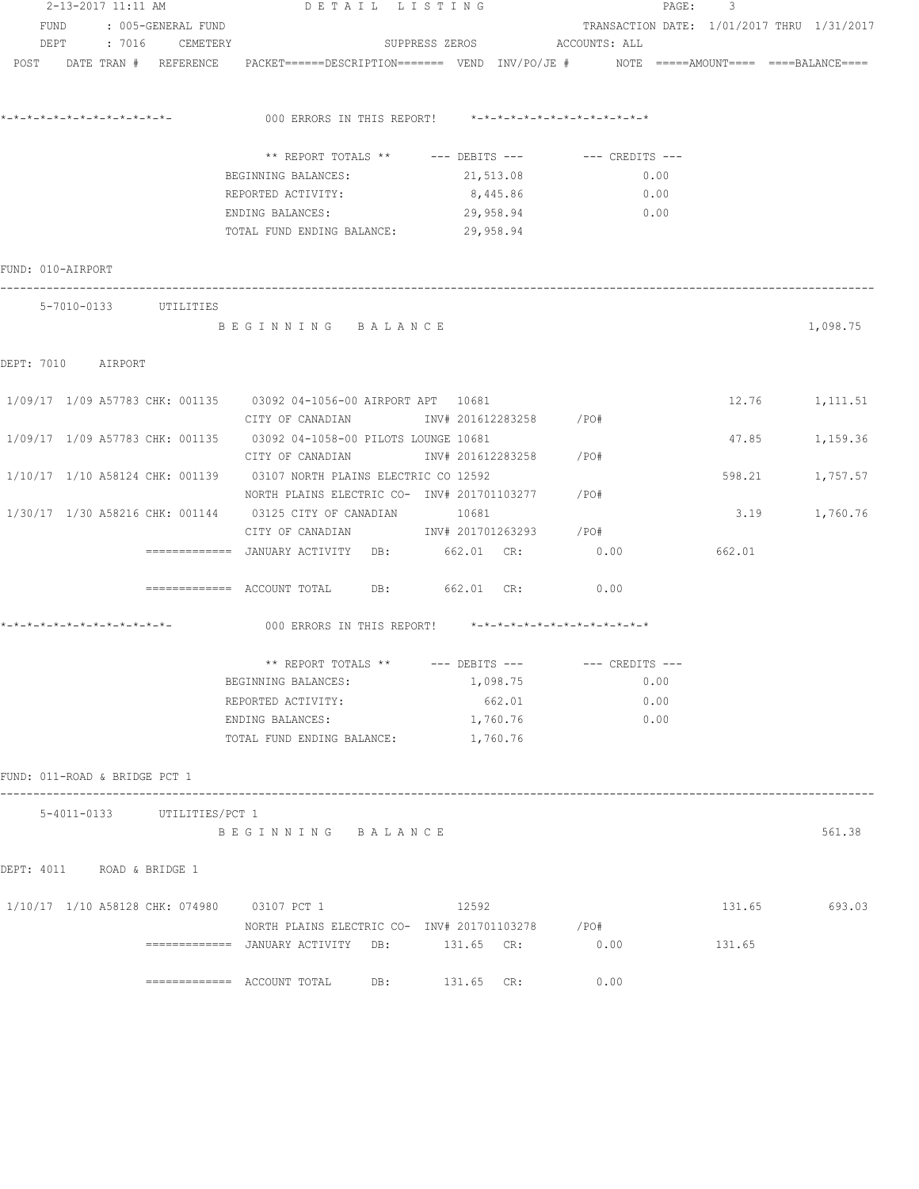|                               |                                             | 2-13-2017 11:11 AM DETAIL LISTING                                                                              |                              | PAGE:                                      | 3      |                |
|-------------------------------|---------------------------------------------|----------------------------------------------------------------------------------------------------------------|------------------------------|--------------------------------------------|--------|----------------|
|                               | FUND : 005-GENERAL FUND                     |                                                                                                                |                              | TRANSACTION DATE: 1/01/2017 THRU 1/31/2017 |        |                |
|                               | DEPT : 7016 CEMETERY                        |                                                                                                                | SUPPRESS ZEROS ACCOUNTS: ALL |                                            |        |                |
|                               |                                             | POST DATE TRAN # REFERENCE PACKET=====DESCRIPTION======= VEND INV/PO/JE # NOTE =====AMOUNT==== ====BALANCE==== |                              |                                            |        |                |
|                               |                                             |                                                                                                                |                              |                                            |        |                |
|                               |                                             |                                                                                                                |                              |                                            |        |                |
|                               |                                             |                                                                                                                |                              |                                            |        |                |
|                               |                                             |                                                                                                                |                              |                                            |        |                |
|                               |                                             | ** REPORT TOTALS ** --- DEBITS --- -- CREDITS ---                                                              |                              |                                            |        |                |
|                               |                                             | BEGINNING BALANCES:                                                                                            | 21,513.08                    | 0.00                                       |        |                |
|                               |                                             | REPORTED ACTIVITY:                                                                                             | 8,445.86                     | 0.00                                       |        |                |
|                               |                                             | ENDING BALANCES: 29,958.94                                                                                     |                              | 0.00                                       |        |                |
|                               |                                             | TOTAL FUND ENDING BALANCE: 29,958.94                                                                           |                              |                                            |        |                |
|                               |                                             |                                                                                                                |                              |                                            |        |                |
| FUND: 010-AIRPORT             |                                             |                                                                                                                |                              |                                            |        |                |
|                               |                                             |                                                                                                                |                              |                                            |        |                |
|                               | 5-7010-0133 UTILITIES                       |                                                                                                                |                              |                                            |        |                |
|                               |                                             | BEGINNING BALANCE                                                                                              |                              |                                            |        | 1,098.75       |
|                               |                                             |                                                                                                                |                              |                                            |        |                |
| DEPT: 7010 AIRPORT            |                                             |                                                                                                                |                              |                                            |        |                |
|                               |                                             |                                                                                                                |                              |                                            |        |                |
|                               |                                             | 1/09/17 1/09 A57783 CHK: 001135 03092 04-1056-00 AIRPORT APT 10681                                             |                              |                                            |        | 12.76 1,111.51 |
|                               |                                             | CITY OF CANADIAN                 INV# 201612283258         /PO#                                                |                              |                                            |        |                |
|                               |                                             | 1/09/17 1/09 A57783 CHK: 001135 03092 04-1058-00 PILOTS LOUNGE 10681                                           |                              |                                            |        | 47.85 1,159.36 |
|                               |                                             | CITY OF CANADIAN                  INV# 201612283258         /PO#                                               |                              |                                            |        |                |
|                               |                                             | 1/10/17 1/10 A58124 CHK: 001139 03107 NORTH PLAINS ELECTRIC CO 12592                                           |                              |                                            | 598.21 | 1,757.57       |
|                               |                                             | NORTH PLAINS ELECTRIC CO- INV# 201701103277 / PO#                                                              |                              |                                            |        |                |
|                               |                                             | 1/30/17 1/30 A58216 CHK: 001144 03125 CITY OF CANADIAN 10681                                                   |                              |                                            |        | 3.19 1,760.76  |
|                               |                                             | CITY OF CANADIAN 1NV# 201701263293 / PO#                                                                       |                              |                                            |        |                |
|                               |                                             | =============   JANUARY  ACTIVITY     DB:                 662.01     CR:                                       |                              | 0.00                                       | 662.01 |                |
|                               |                                             |                                                                                                                |                              |                                            |        |                |
|                               |                                             | ============= ACCOUNT TOTAL DB: 662.01 CR: 0.00                                                                |                              |                                            |        |                |
|                               |                                             |                                                                                                                |                              |                                            |        |                |
|                               |                                             | 000 ERRORS IN THIS REPORT! *-*-*-*-*-*-*-*-*-*-*-*-*-*-                                                        |                              |                                            |        |                |
|                               |                                             |                                                                                                                |                              |                                            |        |                |
|                               |                                             | ** REPORT TOTALS ** --- DEBITS --- -- CREDITS ---                                                              |                              |                                            |        |                |
|                               |                                             | BEGINNING BALANCES:                                                                                            | 1,098.75                     | 0.00                                       |        |                |
|                               |                                             | REPORTED ACTIVITY:                                                                                             | 662.01                       | 0.00                                       |        |                |
|                               |                                             | ENDING BALANCES:                                                                                               | 1,760.76                     | 0.00                                       |        |                |
|                               |                                             | TOTAL FUND ENDING BALANCE:                                                                                     | 1,760.76                     |                                            |        |                |
|                               |                                             |                                                                                                                |                              |                                            |        |                |
| FUND: 011-ROAD & BRIDGE PCT 1 |                                             |                                                                                                                |                              |                                            |        |                |
|                               |                                             |                                                                                                                |                              |                                            |        |                |
|                               | 5-4011-0133 UTILITIES/PCT 1                 |                                                                                                                |                              |                                            |        |                |
|                               |                                             | BEGINNING BALANCE                                                                                              |                              |                                            |        | 561.38         |
|                               |                                             |                                                                                                                |                              |                                            |        |                |
| DEPT: 4011 ROAD & BRIDGE 1    |                                             |                                                                                                                |                              |                                            |        |                |
|                               |                                             |                                                                                                                |                              |                                            |        |                |
|                               |                                             |                                                                                                                | 12592                        |                                            | 131.65 |                |
|                               | 1/10/17 1/10 A58128 CHK: 074980 03107 PCT 1 |                                                                                                                |                              |                                            |        | 693.03         |
|                               |                                             | NORTH PLAINS ELECTRIC CO- INV# 201701103278 /PO#                                                               |                              |                                            |        |                |
|                               |                                             |                                                                                                                |                              | 0.00                                       | 131.65 |                |
|                               |                                             |                                                                                                                |                              |                                            |        |                |
|                               |                                             | DB:                                                                                                            | 131.65 CR:                   | 0.00                                       |        |                |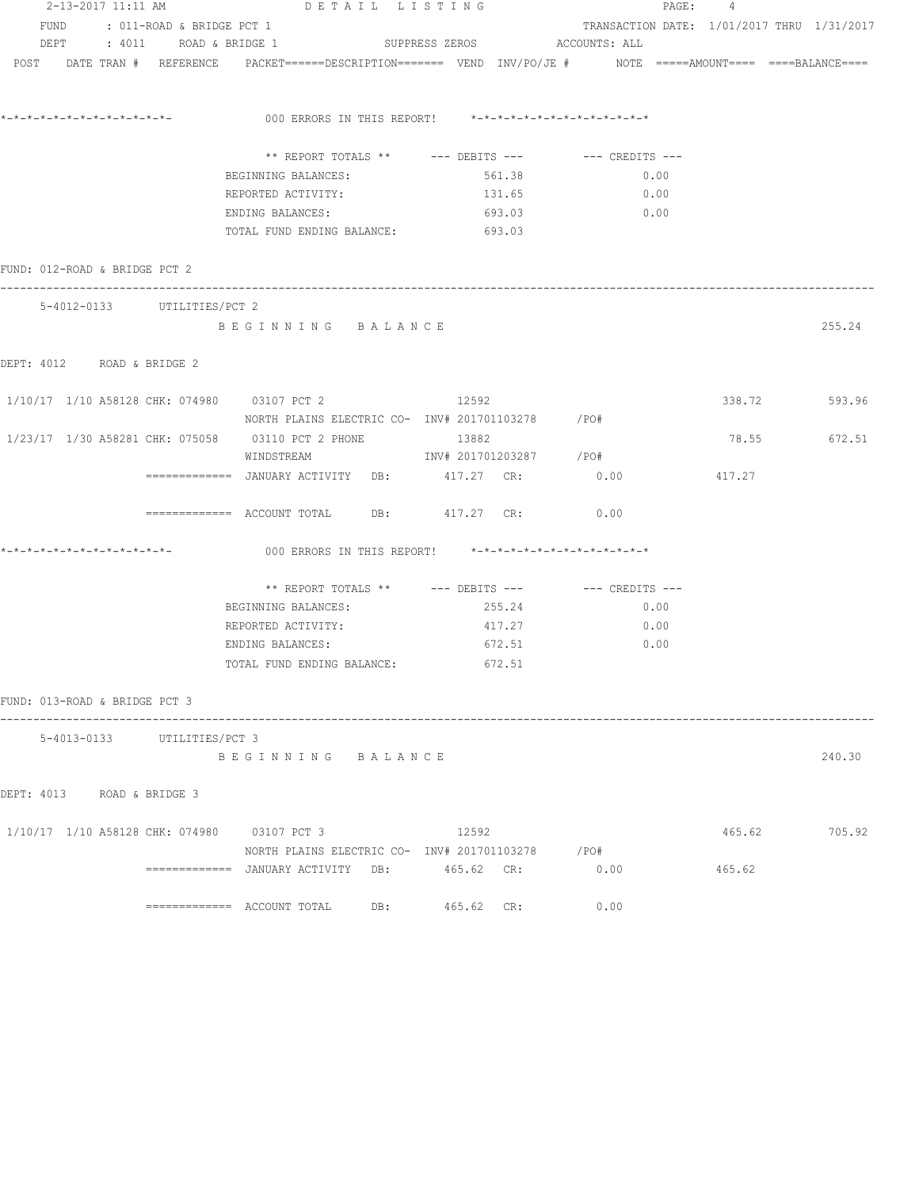|                                             | 2-13-2017 11:11 AM             | DETAIL LISTING                                                                                                  |                              | PAGE: 4                                    |        |        |
|---------------------------------------------|--------------------------------|-----------------------------------------------------------------------------------------------------------------|------------------------------|--------------------------------------------|--------|--------|
|                                             | FUND : 011-ROAD & BRIDGE PCT 1 |                                                                                                                 |                              | TRANSACTION DATE: 1/01/2017 THRU 1/31/2017 |        |        |
|                                             | DEPT : 4011 ROAD & BRIDGE 1    |                                                                                                                 | SUPPRESS ZEROS ACCOUNTS: ALL |                                            |        |        |
|                                             |                                | POST DATE TRAN # REFERENCE PACKET======DESCRIPTION======= VEND INV/PO/JE # NOTE =====AMOUNT==== ====BALANCE==== |                              |                                            |        |        |
|                                             |                                |                                                                                                                 |                              |                                            |        |        |
|                                             |                                | *-*-*-*-*-*-*-*-*-*-*-*-*-           000 ERRORS IN THIS REPORT!    *-*-*-*-*-*-*-*-*-*-*-*-*-*                  |                              |                                            |        |        |
|                                             |                                | ** REPORT TOTALS ** --- DEBITS --- -- -- CREDITS ---                                                            |                              |                                            |        |        |
|                                             |                                | BEGINNING BALANCES:                                                                                             | 561.38                       | 0.00                                       |        |        |
|                                             |                                | REPORTED ACTIVITY:                                                                                              | 131.65                       | 0.00                                       |        |        |
|                                             |                                | ENDING BALANCES:                                                                                                | 693.03                       | 0.00                                       |        |        |
|                                             |                                | TOTAL FUND ENDING BALANCE:                                                                                      | 693.03                       |                                            |        |        |
| FUND: 012-ROAD & BRIDGE PCT 2               |                                |                                                                                                                 |                              |                                            |        |        |
|                                             | 5-4012-0133 UTILITIES/PCT 2    |                                                                                                                 |                              |                                            |        |        |
|                                             |                                | BEGINNING BALANCE                                                                                               |                              |                                            |        | 255.24 |
| DEPT: 4012 ROAD & BRIDGE 2                  |                                |                                                                                                                 |                              |                                            |        |        |
|                                             |                                | 1/10/17 1/10 A58128 CHK: 074980 03107 PCT 2 12592 12592                                                         |                              |                                            | 338.72 | 593.96 |
|                                             |                                | NORTH PLAINS ELECTRIC CO- INV# 201701103278 /PO#                                                                |                              |                                            |        |        |
|                                             |                                | 1/23/17  1/30  A58281  CHK:  075058  03110  PCT  2  PHONE                                                       | 13882                        |                                            | 78.55  | 672.51 |
|                                             |                                | WINDSTREAM                                                                                                      | INV# 201701203287 /PO#       |                                            |        |        |
|                                             |                                | ============ JANUARY ACTIVITY DB: 417.27 CR: 0.00                                                               |                              |                                            | 417.27 |        |
|                                             |                                | ============ ACCOUNT TOTAL DB: 417.27 CR: 0.00                                                                  |                              |                                            |        |        |
|                                             |                                | 000 ERRORS IN THIS REPORT! *-*-*-*-*-*-*-*-*-*-*-*-*-*-                                                         |                              |                                            |        |        |
|                                             |                                | ** REPORT TOTALS ** --- DEBITS --- -- CREDITS ---                                                               |                              |                                            |        |        |
|                                             |                                | BEGINNING BALANCES:                                                                                             | 255.24                       | 0.00                                       |        |        |
|                                             |                                | REPORTED ACTIVITY:                                                                                              | 417.27                       | 0.00                                       |        |        |
|                                             |                                | ENDING BALANCES:                                                                                                | 672.51                       | 0.00                                       |        |        |
|                                             |                                | TOTAL FUND ENDING BALANCE:                                                                                      | 672.51                       |                                            |        |        |
| FUND: 013-ROAD & BRIDGE PCT 3               |                                |                                                                                                                 |                              |                                            |        |        |
|                                             | 5-4013-0133 UTILITIES/PCT 3    |                                                                                                                 |                              |                                            |        |        |
|                                             |                                | BEGINNING BALANCE                                                                                               |                              |                                            |        | 240.30 |
| DEPT: 4013 ROAD & BRIDGE 3                  |                                |                                                                                                                 |                              |                                            |        |        |
| 1/10/17 1/10 A58128 CHK: 074980 03107 PCT 3 |                                |                                                                                                                 | 12592                        |                                            | 465.62 | 705.92 |
|                                             |                                | NORTH PLAINS ELECTRIC CO- INV# 201701103278 / PO#                                                               |                              |                                            |        |        |
|                                             |                                | =============  JANUARY ACTIVITY   DB:                                                                           | 465.62 CR:                   | 0.00                                       | 465.62 |        |
|                                             |                                |                                                                                                                 | 465.62 CR:                   | 0.00                                       |        |        |